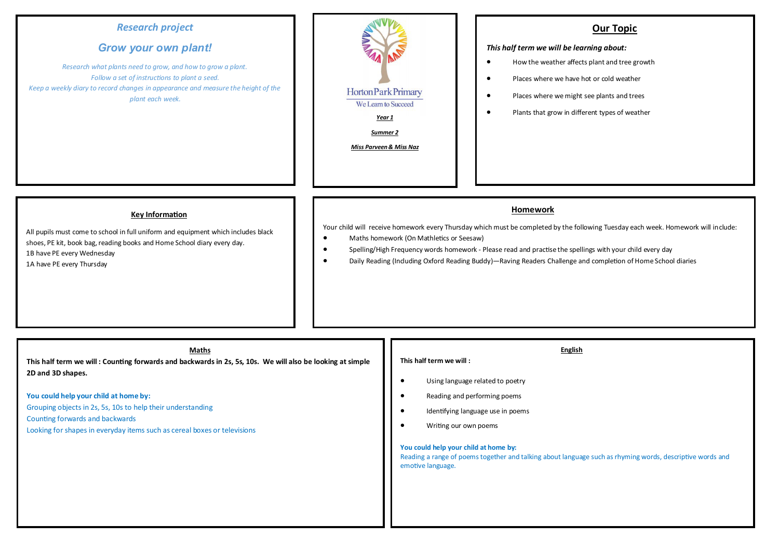# *Research project*

# *Grow your own plant!*

*Research what plants need to grow, and how to grow a plant. Follow a set of instructions to plant a seed. Keep a weekly diary to record changes in appearance and measure the height of the plant each week.*



### **Our Topic**

#### *This half term we will be learning about:*

- How the weather affects plant and tree growth
- Places where we have hot or cold weather
- Places where we might see plants and trees
	- Plants that grow in different types of weather

#### **Key Information**

All pupils must come to school in full uniform and equipment which includes black shoes, PE kit, book bag, reading books and Home School diary every day.

1B have PE every Wednesday

1A have PE every Thursday

#### **Homework**

Your child will receive homework every Thursday which must be completed by the following Tuesday each week. Homework will include:

- Maths homework (On Mathletics or Seesaw)
- Spelling/High Frequency words homework Please read and practise the spellings with your child every day
- Daily Reading (Including Oxford Reading Buddy)—Raving Readers Challenge and completion of Home School diaries

| Maths<br>This half term we will: Counting forwards and backwards in 2s, 5s, 10s. We will also be looking at simple                                                                                                                       | English<br>This half term we will:                                                                                                                                                 |
|------------------------------------------------------------------------------------------------------------------------------------------------------------------------------------------------------------------------------------------|------------------------------------------------------------------------------------------------------------------------------------------------------------------------------------|
| 2D and 3D shapes.<br>You could help your child at home by:<br>Grouping objects in 2s, 5s, 10s to help their understanding<br>Counting forwards and backwards<br>Looking for shapes in everyday items such as cereal boxes or televisions | Using language related to poetry<br>$\bullet$<br>Reading and performing poems<br>$\bullet$<br>Identifying language use in poems<br>$\bullet$<br>Writing our own poems<br>$\bullet$ |
|                                                                                                                                                                                                                                          | You could help your child at home by:<br>Reading a range of poems together and talking about language such as rhyming words, descriptive words and<br>emotive language.            |